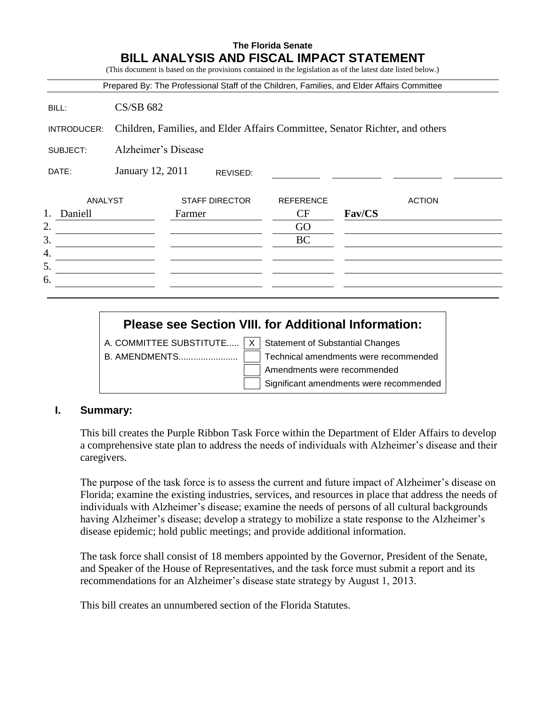# **The Florida Senate BILL ANALYSIS AND FISCAL IMPACT STATEMENT** (This document is based on the provisions contained in the legislation as of the latest date listed below.) Prepared By: The Professional Staff of the Children, Families, and Elder Affairs Committee BILL: CS/SB 682 INTRODUCER: Children, Families, and Elder Affairs Committee, Senator Richter, and others SUBJECT: Alzheimer's Disease DATE: January 12, 2011 ANALYST STAFF DIRECTOR REFERENCE ACTION 1. Daniell Farmer CF **Fav/CS** 2. GO  $3.$  BC 4. 5. 6. REVISED:

# **Please see Section VIII. for Additional Information:** A. COMMITTEE SUBSTITUTE.....  $X \mid$  Statement of Substantial Changes B. AMENDMENTS........................ Technical amendments were recommended Amendments were recommended Significant amendments were recommended

## **I. Summary:**

This bill creates the Purple Ribbon Task Force within the Department of Elder Affairs to develop a comprehensive state plan to address the needs of individuals with Alzheimer's disease and their caregivers.

The purpose of the task force is to assess the current and future impact of Alzheimer's disease on Florida; examine the existing industries, services, and resources in place that address the needs of individuals with Alzheimer's disease; examine the needs of persons of all cultural backgrounds having Alzheimer's disease; develop a strategy to mobilize a state response to the Alzheimer's disease epidemic; hold public meetings; and provide additional information.

The task force shall consist of 18 members appointed by the Governor, President of the Senate, and Speaker of the House of Representatives, and the task force must submit a report and its recommendations for an Alzheimer's disease state strategy by August 1, 2013.

This bill creates an unnumbered section of the Florida Statutes.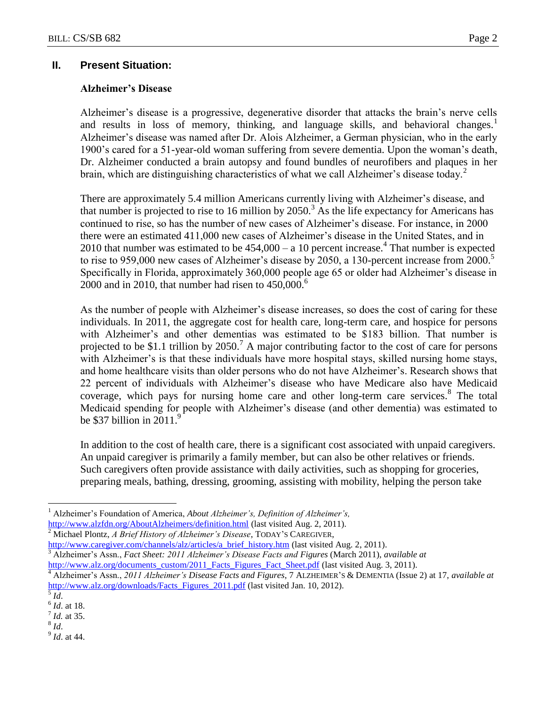## **II. Present Situation:**

#### **Alzheimer's Disease**

Alzheimer's disease is a progressive, degenerative disorder that attacks the brain's nerve cells and results in loss of memory, thinking, and language skills, and behavioral changes. $1$ Alzheimer's disease was named after Dr. Alois Alzheimer, a German physician, who in the early 1900's cared for a 51-year-old woman suffering from severe dementia. Upon the woman's death, Dr. Alzheimer conducted a brain autopsy and found bundles of neurofibers and plaques in her brain, which are distinguishing characteristics of what we call Alzheimer's disease today.<sup>2</sup>

There are approximately 5.4 million Americans currently living with Alzheimer's disease, and that number is projected to rise to 16 million by 2050.<sup>3</sup> As the life expectancy for Americans has continued to rise, so has the number of new cases of Alzheimer's disease. For instance, in 2000 there were an estimated 411,000 new cases of Alzheimer's disease in the United States, and in 2010 that number was estimated to be  $454,000 - a$  10 percent increase.<sup>4</sup> That number is expected to rise to 959,000 new cases of Alzheimer's disease by 2050, a 130-percent increase from 2000.<sup>5</sup> Specifically in Florida, approximately 360,000 people age 65 or older had Alzheimer's disease in 2000 and in 2010, that number had risen to  $450,000$ .<sup>6</sup>

As the number of people with Alzheimer's disease increases, so does the cost of caring for these individuals. In 2011, the aggregate cost for health care, long-term care, and hospice for persons with Alzheimer's and other dementias was estimated to be \$183 billion. That number is projected to be \$1.1 trillion by 2050.<sup>7</sup> A major contributing factor to the cost of care for persons with Alzheimer's is that these individuals have more hospital stays, skilled nursing home stays, and home healthcare visits than older persons who do not have Alzheimer's. Research shows that 22 percent of individuals with Alzheimer's disease who have Medicare also have Medicaid coverage, which pays for nursing home care and other long-term care services.<sup>8</sup> The total Medicaid spending for people with Alzheimer's disease (and other dementia) was estimated to be \$37 billion in  $2011$ .<sup>9</sup>

In addition to the cost of health care, there is a significant cost associated with unpaid caregivers. An unpaid caregiver is primarily a family member, but can also be other relatives or friends. Such caregivers often provide assistance with daily activities, such as shopping for groceries, preparing meals, bathing, dressing, grooming, assisting with mobility, helping the person take

<sup>2</sup> Michael Plontz, *A Brief History of Alzheimer's Disease*, TODAY'<sup>S</sup> CAREGIVER,

[http://www.caregiver.com/channels/alz/articles/a\\_brief\\_history.htm](http://www.caregiver.com/channels/alz/articles/a_brief_history.htm) (last visited Aug. 2, 2011). <sup>3</sup> Alzheimer's Assn., *Fact Sheet: 2011 Alzheimer's Disease Facts and Figures* (March 2011), *available at* [http://www.alz.org/documents\\_custom/2011\\_Facts\\_Figures\\_Fact\\_Sheet.pdf](http://www.alz.org/documents_custom/2011_Facts_Figures_Fact_Sheet.pdf) (last visited Aug. 3, 2011).

 $\overline{a}$ 

9 *Id*. at 44.

<sup>1</sup> Alzheimer's Foundation of America, *About Alzheimer's, Definition of Alzheimer's,* <http://www.alzfdn.org/AboutAlzheimers/definition.html> (last visited Aug. 2, 2011).

<sup>4</sup> Alzheimer's Assn., *2011 Alzheimer's Disease Facts and Figures*, 7 ALZHEIMER'S & DEMENTIA (Issue 2) at 17, *available at* [http://www.alz.org/downloads/Facts\\_Figures\\_2011.pdf](http://www.alz.org/downloads/Facts_Figures_2011.pdf) (last visited Jan. 10, 2012).

<sup>5</sup> *Id*.

<sup>6</sup> *Id*. at 18.

<sup>7</sup> *Id.* at 35.

<sup>8</sup> *Id*.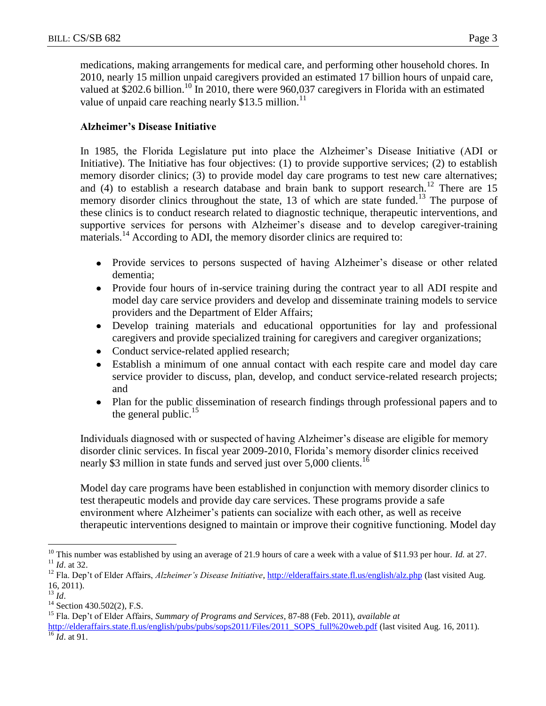medications, making arrangements for medical care, and performing other household chores. In 2010, nearly 15 million unpaid caregivers provided an estimated 17 billion hours of unpaid care, valued at \$202.6 billion.<sup>10</sup> In 2010, there were 960,037 caregivers in Florida with an estimated value of unpaid care reaching nearly \$13.5 million.<sup>11</sup>

#### **Alzheimer's Disease Initiative**

In 1985, the Florida Legislature put into place the Alzheimer's Disease Initiative (ADI or Initiative). The Initiative has four objectives: (1) to provide supportive services; (2) to establish memory disorder clinics; (3) to provide model day care programs to test new care alternatives; and (4) to establish a research database and brain bank to support research.<sup>12</sup> There are 15 memory disorder clinics throughout the state, 13 of which are state funded.<sup>13</sup> The purpose of these clinics is to conduct research related to diagnostic technique, therapeutic interventions, and supportive services for persons with Alzheimer's disease and to develop caregiver-training materials.<sup>14</sup> According to ADI, the memory disorder clinics are required to:

- Provide services to persons suspected of having Alzheimer's disease or other related dementia;
- Provide four hours of in-service training during the contract year to all ADI respite and model day care service providers and develop and disseminate training models to service providers and the Department of Elder Affairs;
- Develop training materials and educational opportunities for lay and professional caregivers and provide specialized training for caregivers and caregiver organizations;
- Conduct service-related applied research;
- Establish a minimum of one annual contact with each respite care and model day care service provider to discuss, plan, develop, and conduct service-related research projects; and
- Plan for the public dissemination of research findings through professional papers and to  $\bullet$ the general public.<sup>15</sup>

Individuals diagnosed with or suspected of having Alzheimer's disease are eligible for memory disorder clinic services. In fiscal year 2009-2010, Florida's memory disorder clinics received nearly \$3 million in state funds and served just over 5,000 clients.<sup>16</sup>

Model day care programs have been established in conjunction with memory disorder clinics to test therapeutic models and provide day care services. These programs provide a safe environment where Alzheimer's patients can socialize with each other, as well as receive therapeutic interventions designed to maintain or improve their cognitive functioning. Model day

 $\overline{a}$ 

<sup>&</sup>lt;sup>10</sup> This number was established by using an average of 21.9 hours of care a week with a value of \$11.93 per hour. *Id.* at 27.  $11$  *Id.* at 32.

<sup>&</sup>lt;sup>12</sup> Fla. Dep't of Elder Affairs, *Alzheimer's Disease Initiative*, *http://elderaffairs.state.fl.us/english/alz.php* (last visited Aug. 16, 2011).

<sup>13</sup> *Id*.

<sup>&</sup>lt;sup>14</sup> Section 430.502(2), F.S.

<sup>15</sup> Fla. Dep't of Elder Affairs, *Summary of Programs and Services*, 87-88 (Feb. 2011), *available at*  [http://elderaffairs.state.fl.us/english/pubs/pubs/sops2011/Files/2011\\_SOPS\\_full%20web.pdf](http://elderaffairs.state.fl.us/english/pubs/pubs/sops2011/Files/2011_SOPS_full%20web.pdf) (last visited Aug. 16, 2011).  $\overline{16}$  *Id.* at 91.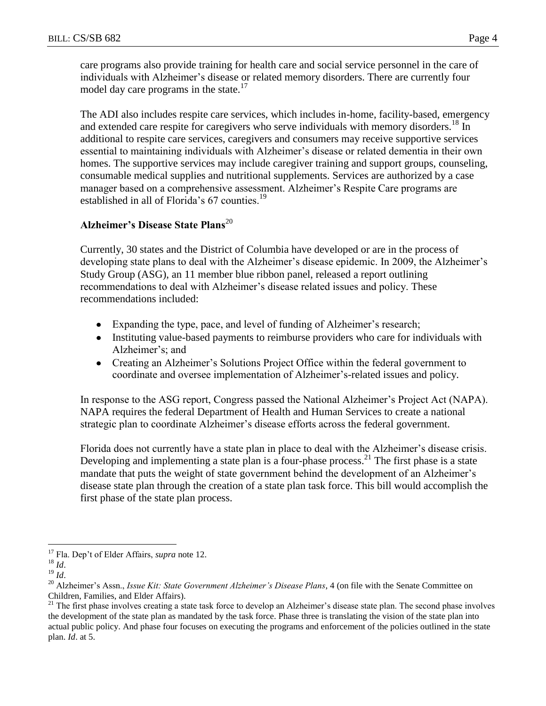care programs also provide training for health care and social service personnel in the care of individuals with Alzheimer's disease or related memory disorders. There are currently four model day care programs in the state.<sup>17</sup>

The ADI also includes respite care services, which includes in-home, facility-based, emergency and extended care respite for caregivers who serve individuals with memory disorders.<sup>18</sup> In additional to respite care services, caregivers and consumers may receive supportive services essential to maintaining individuals with Alzheimer's disease or related dementia in their own homes. The supportive services may include caregiver training and support groups, counseling, consumable medical supplies and nutritional supplements. Services are authorized by a case manager based on a comprehensive assessment. Alzheimer's Respite Care programs are established in all of Florida's 67 counties.<sup>19</sup>

# **Alzheimer's Disease State Plans**<sup>20</sup>

Currently, 30 states and the District of Columbia have developed or are in the process of developing state plans to deal with the Alzheimer's disease epidemic. In 2009, the Alzheimer's Study Group (ASG), an 11 member blue ribbon panel, released a report outlining recommendations to deal with Alzheimer's disease related issues and policy. These recommendations included:

- Expanding the type, pace, and level of funding of Alzheimer's research;
- Instituting value-based payments to reimburse providers who care for individuals with Alzheimer's; and
- Creating an Alzheimer's Solutions Project Office within the federal government to coordinate and oversee implementation of Alzheimer's-related issues and policy.

In response to the ASG report, Congress passed the National Alzheimer's Project Act (NAPA). NAPA requires the federal Department of Health and Human Services to create a national strategic plan to coordinate Alzheimer's disease efforts across the federal government.

Florida does not currently have a state plan in place to deal with the Alzheimer's disease crisis. Developing and implementing a state plan is a four-phase process.<sup>21</sup> The first phase is a state mandate that puts the weight of state government behind the development of an Alzheimer's disease state plan through the creation of a state plan task force. This bill would accomplish the first phase of the state plan process.

 $\overline{a}$ 

<sup>17</sup> Fla. Dep't of Elder Affairs, *supra* note 12.

<sup>18</sup> *Id*.

<sup>19</sup> *Id*.

<sup>&</sup>lt;sup>20</sup> Alzheimer's Assn., *Issue Kit: State Government Alzheimer's Disease Plans*, 4 (on file with the Senate Committee on Children, Families, and Elder Affairs).

 $21$  The first phase involves creating a state task force to develop an Alzheimer's disease state plan. The second phase involves the development of the state plan as mandated by the task force. Phase three is translating the vision of the state plan into actual public policy. And phase four focuses on executing the programs and enforcement of the policies outlined in the state plan. *Id*. at 5.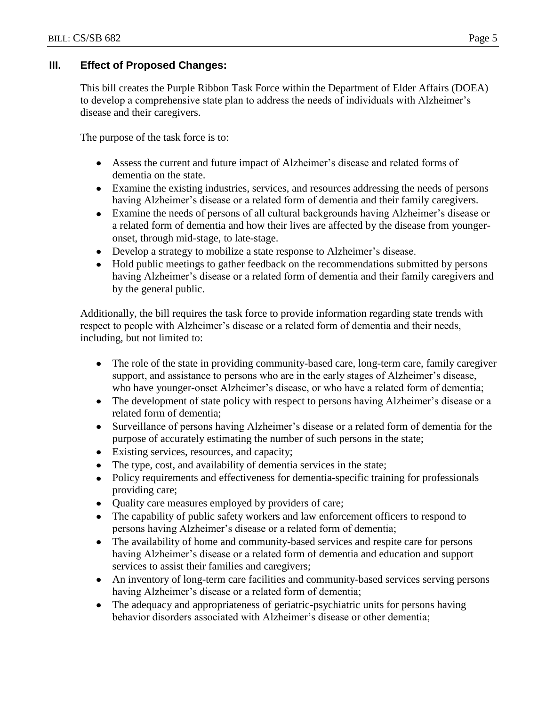## **III. Effect of Proposed Changes:**

This bill creates the Purple Ribbon Task Force within the Department of Elder Affairs (DOEA) to develop a comprehensive state plan to address the needs of individuals with Alzheimer's disease and their caregivers.

The purpose of the task force is to:

- Assess the current and future impact of Alzheimer's disease and related forms of dementia on the state.
- Examine the existing industries, services, and resources addressing the needs of persons having Alzheimer's disease or a related form of dementia and their family caregivers.
- Examine the needs of persons of all cultural backgrounds having Alzheimer's disease or a related form of dementia and how their lives are affected by the disease from youngeronset, through mid-stage, to late-stage.
- Develop a strategy to mobilize a state response to Alzheimer's disease.
- Hold public meetings to gather feedback on the recommendations submitted by persons having Alzheimer's disease or a related form of dementia and their family caregivers and by the general public.

Additionally, the bill requires the task force to provide information regarding state trends with respect to people with Alzheimer's disease or a related form of dementia and their needs, including, but not limited to:

- The role of the state in providing community-based care, long-term care, family caregiver support, and assistance to persons who are in the early stages of Alzheimer's disease, who have younger-onset Alzheimer's disease, or who have a related form of dementia;
- The development of state policy with respect to persons having Alzheimer's disease or a related form of dementia;
- Surveillance of persons having Alzheimer's disease or a related form of dementia for the purpose of accurately estimating the number of such persons in the state;
- Existing services, resources, and capacity;
- $\bullet$ The type, cost, and availability of dementia services in the state;
- Policy requirements and effectiveness for dementia-specific training for professionals providing care;
- Quality care measures employed by providers of care;
- The capability of public safety workers and law enforcement officers to respond to persons having Alzheimer's disease or a related form of dementia;
- The availability of home and community-based services and respite care for persons having Alzheimer's disease or a related form of dementia and education and support services to assist their families and caregivers;
- An inventory of long-term care facilities and community-based services serving persons having Alzheimer's disease or a related form of dementia;
- The adequacy and appropriateness of geriatric-psychiatric units for persons having behavior disorders associated with Alzheimer's disease or other dementia;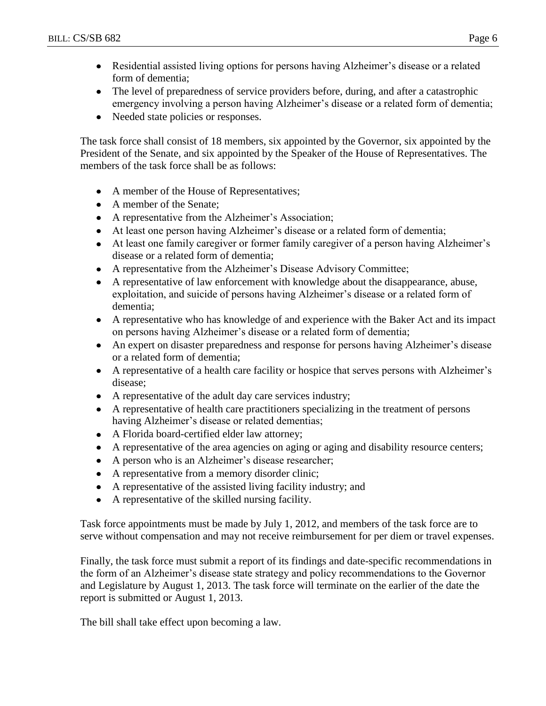- Residential assisted living options for persons having Alzheimer's disease or a related form of dementia;
- The level of preparedness of service providers before, during, and after a catastrophic emergency involving a person having Alzheimer's disease or a related form of dementia;
- Needed state policies or responses.

The task force shall consist of 18 members, six appointed by the Governor, six appointed by the President of the Senate, and six appointed by the Speaker of the House of Representatives. The members of the task force shall be as follows:

- A member of the House of Representatives;  $\bullet$
- A member of the Senate;
- A representative from the Alzheimer's Association;
- At least one person having Alzheimer's disease or a related form of dementia;
- At least one family caregiver or former family caregiver of a person having Alzheimer's disease or a related form of dementia;
- A representative from the Alzheimer's Disease Advisory Committee;
- A representative of law enforcement with knowledge about the disappearance, abuse, exploitation, and suicide of persons having Alzheimer's disease or a related form of dementia;
- A representative who has knowledge of and experience with the Baker Act and its impact on persons having Alzheimer's disease or a related form of dementia;
- An expert on disaster preparedness and response for persons having Alzheimer's disease or a related form of dementia;
- A representative of a health care facility or hospice that serves persons with Alzheimer's disease;
- A representative of the adult day care services industry;
- A representative of health care practitioners specializing in the treatment of persons having Alzheimer's disease or related dementias;
- A Florida board-certified elder law attorney;
- A representative of the area agencies on aging or aging and disability resource centers;
- A person who is an Alzheimer's disease researcher;
- A representative from a memory disorder clinic;
- A representative of the assisted living facility industry; and
- A representative of the skilled nursing facility.

Task force appointments must be made by July 1, 2012, and members of the task force are to serve without compensation and may not receive reimbursement for per diem or travel expenses.

Finally, the task force must submit a report of its findings and date-specific recommendations in the form of an Alzheimer's disease state strategy and policy recommendations to the Governor and Legislature by August 1, 2013. The task force will terminate on the earlier of the date the report is submitted or August 1, 2013.

The bill shall take effect upon becoming a law.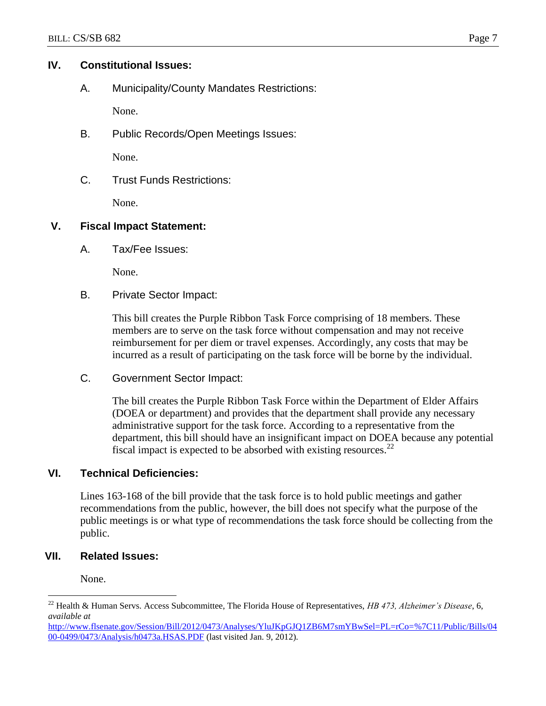#### **IV. Constitutional Issues:**

A. Municipality/County Mandates Restrictions:

None.

B. Public Records/Open Meetings Issues:

None.

C. Trust Funds Restrictions:

None.

## **V. Fiscal Impact Statement:**

A. Tax/Fee Issues:

None.

B. Private Sector Impact:

This bill creates the Purple Ribbon Task Force comprising of 18 members. These members are to serve on the task force without compensation and may not receive reimbursement for per diem or travel expenses. Accordingly, any costs that may be incurred as a result of participating on the task force will be borne by the individual.

C. Government Sector Impact:

The bill creates the Purple Ribbon Task Force within the Department of Elder Affairs (DOEA or department) and provides that the department shall provide any necessary administrative support for the task force. According to a representative from the department, this bill should have an insignificant impact on DOEA because any potential fiscal impact is expected to be absorbed with existing resources. $^{22}$ 

## **VI. Technical Deficiencies:**

Lines 163-168 of the bill provide that the task force is to hold public meetings and gather recommendations from the public, however, the bill does not specify what the purpose of the public meetings is or what type of recommendations the task force should be collecting from the public.

## **VII. Related Issues:**

None.

 $\overline{a}$ 

<sup>22</sup> Health & Human Servs. Access Subcommittee, The Florida House of Representatives, *HB 473, Alzheimer's Disease*, 6, *available at*

[http://www.flsenate.gov/Session/Bill/2012/0473/Analyses/YluJKpGJQ1ZB6M7smYBwSel=PL=rCo=%7C11/Public/Bills/04](http://www.flsenate.gov/Session/Bill/2012/0473/Analyses/YluJKpGJQ1ZB6M7smYBwSel=PL=rCo=%7C11/Public/Bills/0400-0499/0473/Analysis/h0473a.HSAS.PDF) [00-0499/0473/Analysis/h0473a.HSAS.PDF](http://www.flsenate.gov/Session/Bill/2012/0473/Analyses/YluJKpGJQ1ZB6M7smYBwSel=PL=rCo=%7C11/Public/Bills/0400-0499/0473/Analysis/h0473a.HSAS.PDF) (last visited Jan. 9, 2012).